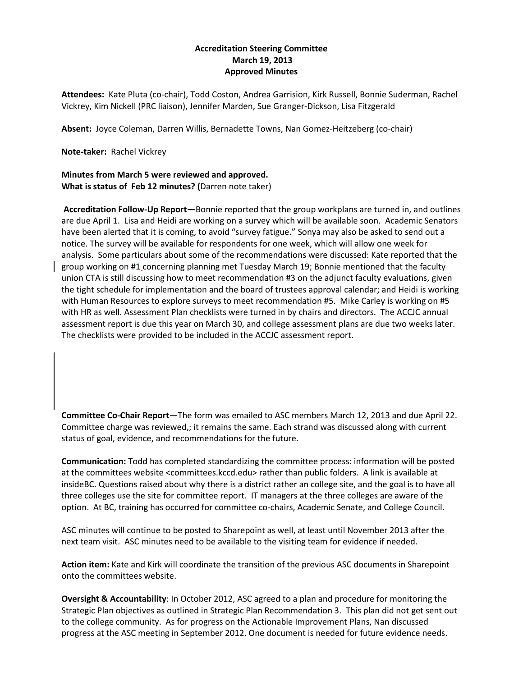## **Accreditation Steering Committee March 19, 2013 Approved Minutes**

**Attendees:** Kate Pluta (co-chair), Todd Coston, Andrea Garrision, Kirk Russell, Bonnie Suderman, Rachel Vickrey, Kim Nickell (PRC liaison), Jennifer Marden, Sue Granger-Dickson, Lisa Fitzgerald

**Absent:** Joyce Coleman, Darren Willis, Bernadette Towns, Nan Gomez-Heitzeberg (co-chair)

**Note-taker:** Rachel Vickrey

## **Minutes from March 5 were reviewed and approved. What is status of Feb 12 minutes? (**Darren note taker)

**Accreditation Follow-Up Report—**Bonnie reported that the group workplans are turned in, and outlines are due April 1. Lisa and Heidi are working on a survey which will be available soon. Academic Senators have been alerted that it is coming, to avoid "survey fatigue." Sonya may also be asked to send out a notice. The survey will be available for respondents for one week, which will allow one week for analysis. Some particulars about some of the recommendations were discussed: Kate reported that the group working on #1 concerning planning met Tuesday March 19; Bonnie mentioned that the faculty union CTA is still discussing how to meet recommendation #3 on the adjunct faculty evaluations, given the tight schedule for implementation and the board of trustees approval calendar; and Heidi is working with Human Resources to explore surveys to meet recommendation #5. Mike Carley is working on #5 with HR as well. Assessment Plan checklists were turned in by chairs and directors. The ACCJC annual assessment report is due this year on March 30, and college assessment plans are due two weeks later. The checklists were provided to be included in the ACCJC assessment report.

**Committee Co-Chair Report**—The form was emailed to ASC members March 12, 2013 and due April 22. Committee charge was reviewed,; it remains the same. Each strand was discussed along with current status of goal, evidence, and recommendations for the future.

**Communication:** Todd has completed standardizing the committee process: information will be posted at the committees website <committees.kccd.edu> rather than public folders. A link is available at insideBC. Questions raised about why there is a district rather an college site, and the goal is to have all three colleges use the site for committee report. IT managers at the three colleges are aware of the option. At BC, training has occurred for committee co-chairs, Academic Senate, and College Council.

ASC minutes will continue to be posted to Sharepoint as well, at least until November 2013 after the next team visit. ASC minutes need to be available to the visiting team for evidence if needed.

**Action item:** Kate and Kirk will coordinate the transition of the previous ASC documents in Sharepoint onto the committees website.

**Oversight & Accountability**: In October 2012, ASC agreed to a plan and procedure for monitoring the Strategic Plan objectives as outlined in Strategic Plan Recommendation 3. This plan did not get sent out to the college community. As for progress on the Actionable Improvement Plans, Nan discussed progress at the ASC meeting in September 2012. One document is needed for future evidence needs.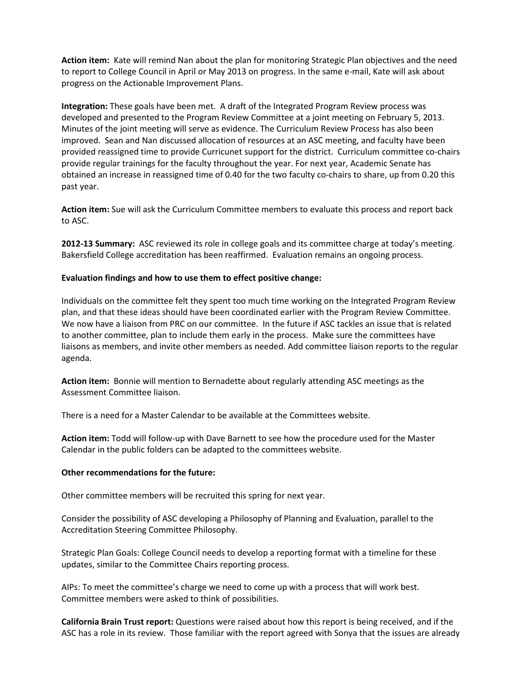**Action item:** Kate will remind Nan about the plan for monitoring Strategic Plan objectives and the need to report to College Council in April or May 2013 on progress. In the same e-mail, Kate will ask about progress on the Actionable Improvement Plans.

**Integration:** These goals have been met. A draft of the Integrated Program Review process was developed and presented to the Program Review Committee at a joint meeting on February 5, 2013. Minutes of the joint meeting will serve as evidence. The Curriculum Review Process has also been improved. Sean and Nan discussed allocation of resources at an ASC meeting, and faculty have been provided reassigned time to provide Curricunet support for the district. Curriculum committee co-chairs provide regular trainings for the faculty throughout the year. For next year, Academic Senate has obtained an increase in reassigned time of 0.40 for the two faculty co-chairs to share, up from 0.20 this past year.

**Action item:** Sue will ask the Curriculum Committee members to evaluate this process and report back to ASC.

**2012-13 Summary:** ASC reviewed its role in college goals and its committee charge at today's meeting. Bakersfield College accreditation has been reaffirmed. Evaluation remains an ongoing process.

## **Evaluation findings and how to use them to effect positive change:**

Individuals on the committee felt they spent too much time working on the Integrated Program Review plan, and that these ideas should have been coordinated earlier with the Program Review Committee. We now have a liaison from PRC on our committee. In the future if ASC tackles an issue that is related to another committee, plan to include them early in the process. Make sure the committees have liaisons as members, and invite other members as needed. Add committee liaison reports to the regular agenda.

**Action item:** Bonnie will mention to Bernadette about regularly attending ASC meetings as the Assessment Committee liaison.

There is a need for a Master Calendar to be available at the Committees website.

**Action item:** Todd will follow-up with Dave Barnett to see how the procedure used for the Master Calendar in the public folders can be adapted to the committees website.

## **Other recommendations for the future:**

Other committee members will be recruited this spring for next year.

Consider the possibility of ASC developing a Philosophy of Planning and Evaluation, parallel to the Accreditation Steering Committee Philosophy.

Strategic Plan Goals: College Council needs to develop a reporting format with a timeline for these updates, similar to the Committee Chairs reporting process.

AIPs: To meet the committee's charge we need to come up with a process that will work best. Committee members were asked to think of possibilities.

**California Brain Trust report:** Questions were raised about how this report is being received, and if the ASC has a role in its review. Those familiar with the report agreed with Sonya that the issues are already